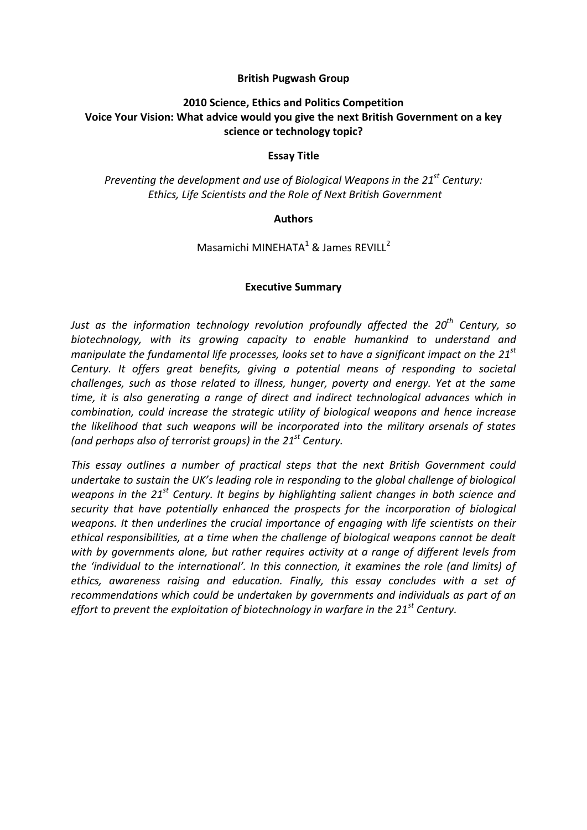#### **British Pugwash Group**

## **2010 Science, Ethics and Politics Competition Voice Your Vision: What advice would you give the next British Government on a key science or technology topic?**

#### **Essay Title**

*Preventing the development and use of Biological Weapons in the 21st Century: Ethics, Life Scientists and the Role of Next British Government*

#### **Authors**

Masamichi MINEHATA $1$  & James REVILL<sup>2</sup>

#### **Executive Summary**

*Just as the information technology revolution profoundly affected the 20th Century, so biotechnology, with its growing capacity to enable humankind to understand and manipulate the fundamental life processes, looks set to have a significant impact on the 21st Century. It offers great benefits, giving a potential means of responding to societal challenges, such as those related to illness, hunger, poverty and energy. Yet at the same time, it is also generating a range of direct and indirect technological advances which in combination, could increase the strategic utility of biological weapons and hence increase the likelihood that such weapons will be incorporated into the military arsenals of states (and perhaps also of terrorist groups) in the 21st Century.*

*This essay outlines a number of practical steps that the next British Government could undertake to sustain the UK's leading role in responding to the global challenge of biological weapons in the 21st Century. It begins by highlighting salient changes in both science and security that have potentially enhanced the prospects for the incorporation of biological weapons. It then underlines the crucial importance of engaging with life scientists on their ethical responsibilities, at a time when the challenge of biological weapons cannot be dealt with by governments alone, but rather requires activity at a range of different levels from the 'individual to the international'. In this connection, it examines the role (and limits) of ethics, awareness raising and education. Finally, this essay concludes with a set of recommendations which could be undertaken by governments and individuals as part of an effort to prevent the exploitation of biotechnology in warfare in the 21st Century.*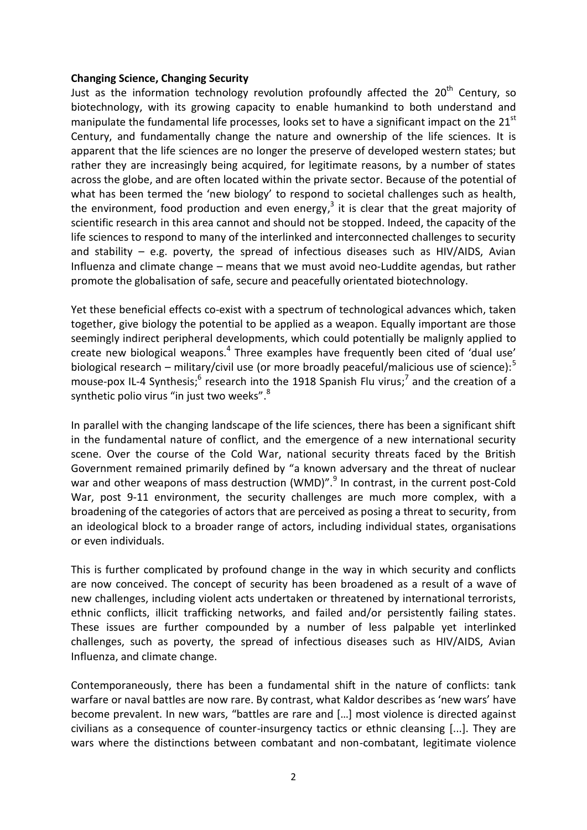#### **Changing Science, Changing Security**

Just as the information technology revolution profoundly affected the  $20<sup>th</sup>$  Century, so biotechnology, with its growing capacity to enable humankind to both understand and manipulate the fundamental life processes, looks set to have a significant impact on the 21<sup>st</sup> Century, and fundamentally change the nature and ownership of the life sciences. It is apparent that the life sciences are no longer the preserve of developed western states; but rather they are increasingly being acquired, for legitimate reasons, by a number of states across the globe, and are often located within the private sector. Because of the potential of what has been termed the 'new biology' to respond to societal challenges such as health, the environment, food production and even energy,<sup>3</sup> it is clear that the great majority of scientific research in this area cannot and should not be stopped. Indeed, the capacity of the life sciences to respond to many of the interlinked and interconnected challenges to security and stability  $-$  e.g. poverty, the spread of infectious diseases such as HIV/AIDS, Avian Influenza and climate change – means that we must avoid neo-Luddite agendas, but rather promote the globalisation of safe, secure and peacefully orientated biotechnology.

Yet these beneficial effects co-exist with a spectrum of technological advances which, taken together, give biology the potential to be applied as a weapon. Equally important are those seemingly indirect peripheral developments, which could potentially be malignly applied to create new biological weapons.<sup>4</sup> Three examples have frequently been cited of 'dual use' biological research – military/civil use (or more broadly peaceful/malicious use of science): $5$ mouse-pox IL-4 Synthesis;<sup>6</sup> research into the 1918 Spanish Flu virus;<sup>7</sup> and the creation of a synthetic polio virus "in just two weeks".<sup>8</sup>

In parallel with the changing landscape of the life sciences, there has been a significant shift in the fundamental nature of conflict, and the emergence of a new international security scene. Over the course of the Cold War, national security threats faced by the British Government remained primarily defined by "a known adversary and the threat of nuclear war and other weapons of mass destruction (WMD)".<sup>9</sup> In contrast, in the current post-Cold War, post 9-11 environment, the security challenges are much more complex, with a broadening of the categories of actors that are perceived as posing a threat to security, from an ideological block to a broader range of actors, including individual states, organisations or even individuals.

This is further complicated by profound change in the way in which security and conflicts are now conceived. The concept of security has been broadened as a result of a wave of new challenges, including violent acts undertaken or threatened by international terrorists, ethnic conflicts, illicit trafficking networks, and failed and/or persistently failing states. These issues are further compounded by a number of less palpable yet interlinked challenges, such as poverty, the spread of infectious diseases such as HIV/AIDS, Avian Influenza, and climate change.

Contemporaneously, there has been a fundamental shift in the nature of conflicts: tank warfare or naval battles are now rare. By contrast, what Kaldor describes as 'new wars' have become prevalent. In new wars, "battles are rare and [...] most violence is directed against civilians as a consequence of counter-insurgency tactics or ethnic cleansing [...]. They are wars where the distinctions between combatant and non-combatant, legitimate violence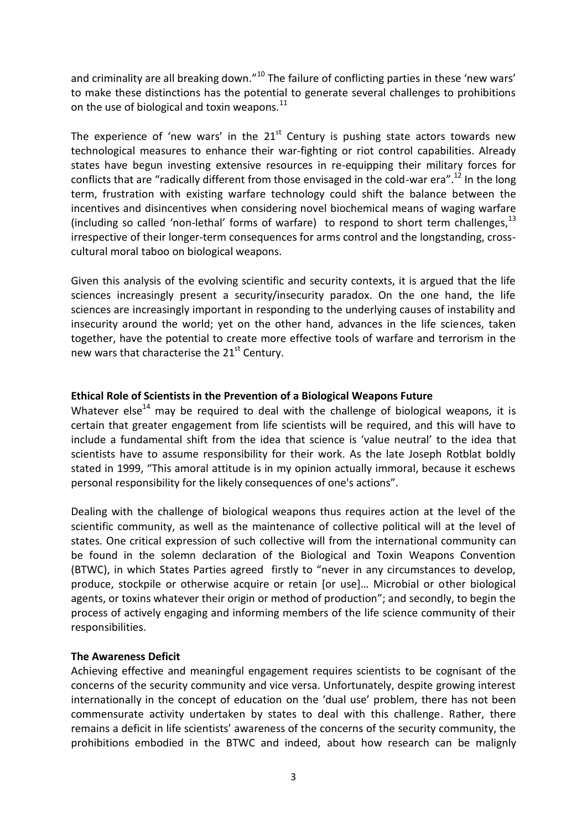and criminality are all breaking down."<sup>10</sup> The failure of conflicting parties in these 'new wars' to make these distinctions has the potential to generate several challenges to prohibitions on the use of biological and toxin weapons. $^{11}$ 

The experience of 'new wars' in the  $21<sup>st</sup>$  Century is pushing state actors towards new technological measures to enhance their war-fighting or riot control capabilities. Already states have begun investing extensive resources in re-equipping their military forces for conflicts that are "radically different from those envisaged in the cold-war era".<sup>12</sup> In the long term, frustration with existing warfare technology could shift the balance between the incentives and disincentives when considering novel biochemical means of waging warfare (including so called 'non-lethal' forms of warfare) to respond to short term challenges, $^{13}$ irrespective of their longer-term consequences for arms control and the longstanding, crosscultural moral taboo on biological weapons.

Given this analysis of the evolving scientific and security contexts, it is argued that the life sciences increasingly present a security/insecurity paradox. On the one hand, the life sciences are increasingly important in responding to the underlying causes of instability and insecurity around the world; yet on the other hand, advances in the life sciences, taken together, have the potential to create more effective tools of warfare and terrorism in the new wars that characterise the 21<sup>st</sup> Century.

#### **Ethical Role of Scientists in the Prevention of a Biological Weapons Future**

Whatever else<sup>14</sup> may be required to deal with the challenge of biological weapons, it is certain that greater engagement from life scientists will be required, and this will have to include a fundamental shift from the idea that science is 'value neutral' to the idea that scientists have to assume responsibility for their work. As the late Joseph Rotblat boldly stated in 1999, "This amoral attitude is in my opinion actually immoral, because it eschews personal responsibility for the likely consequences of one's actions".

Dealing with the challenge of biological weapons thus requires action at the level of the scientific community, as well as the maintenance of collective political will at the level of states. One critical expression of such collective will from the international community can be found in the solemn declaration of the Biological and Toxin Weapons Convention (BTWC), in which States Parties agreed firstly to "never in any circumstances to develop, produce, stockpile or otherwise acquire or retain [or use]... Microbial or other biological agents, or toxins whatever their origin or method of production"; and secondly, to begin the process of actively engaging and informing members of the life science community of their responsibilities.

#### **The Awareness Deficit**

Achieving effective and meaningful engagement requires scientists to be cognisant of the concerns of the security community and vice versa. Unfortunately, despite growing interest internationally in the concept of education on the 'dual use' problem, there has not been commensurate activity undertaken by states to deal with this challenge. Rather, there remains a deficit in life scientists' awareness of the concerns of the security community, the prohibitions embodied in the BTWC and indeed, about how research can be malignly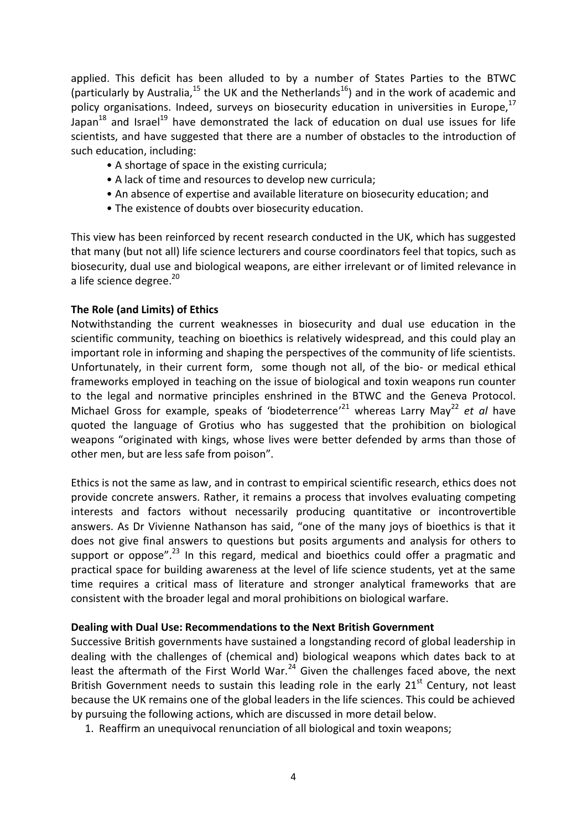applied. This deficit has been alluded to by a number of States Parties to the BTWC (particularly by Australia,<sup>15</sup> the UK and the Netherlands<sup>16</sup>) and in the work of academic and policy organisations. Indeed, surveys on biosecurity education in universities in Europe,  $17$ Japan $^{18}$  and Israel<sup>19</sup> have demonstrated the lack of education on dual use issues for life scientists, and have suggested that there are a number of obstacles to the introduction of such education, including:

- A shortage of space in the existing curricula;
- A lack of time and resources to develop new curricula;
- An absence of expertise and available literature on biosecurity education; and
- The existence of doubts over biosecurity education.

This view has been reinforced by recent research conducted in the UK, which has suggested that many (but not all) life science lecturers and course coordinators feel that topics, such as biosecurity, dual use and biological weapons, are either irrelevant or of limited relevance in a life science degree.<sup>20</sup>

#### **The Role (and Limits) of Ethics**

Notwithstanding the current weaknesses in biosecurity and dual use education in the scientific community, teaching on bioethics is relatively widespread, and this could play an important role in informing and shaping the perspectives of the community of life scientists. Unfortunately, in their current form, some though not all, of the bio- or medical ethical frameworks employed in teaching on the issue of biological and toxin weapons run counter to the legal and normative principles enshrined in the BTWC and the Geneva Protocol. Michael Gross for example, speaks of 'biodeterrence'<sup>21</sup> whereas Larry May<sup>22</sup> et al have quoted the language of Grotius who has suggested that the prohibition on biological weapons "originated with kings, whose lives were better defended by arms than those of other men, but are less safe from poison".

Ethics is not the same as law, and in contrast to empirical scientific research, ethics does not provide concrete answers. Rather, it remains a process that involves evaluating competing interests and factors without necessarily producing quantitative or incontrovertible answers. As Dr Vivienne Nathanson has said, "one of the many joys of bioethics is that it does not give final answers to questions but posits arguments and analysis for others to support or oppose".<sup>23</sup> In this regard, medical and bioethics could offer a pragmatic and practical space for building awareness at the level of life science students, yet at the same time requires a critical mass of literature and stronger analytical frameworks that are consistent with the broader legal and moral prohibitions on biological warfare.

#### **Dealing with Dual Use: Recommendations to the Next British Government**

Successive British governments have sustained a longstanding record of global leadership in dealing with the challenges of (chemical and) biological weapons which dates back to at least the aftermath of the First World War.<sup>24</sup> Given the challenges faced above, the next British Government needs to sustain this leading role in the early  $21<sup>st</sup>$  Century, not least because the UK remains one of the global leaders in the life sciences. This could be achieved by pursuing the following actions, which are discussed in more detail below.

1. Reaffirm an unequivocal renunciation of all biological and toxin weapons;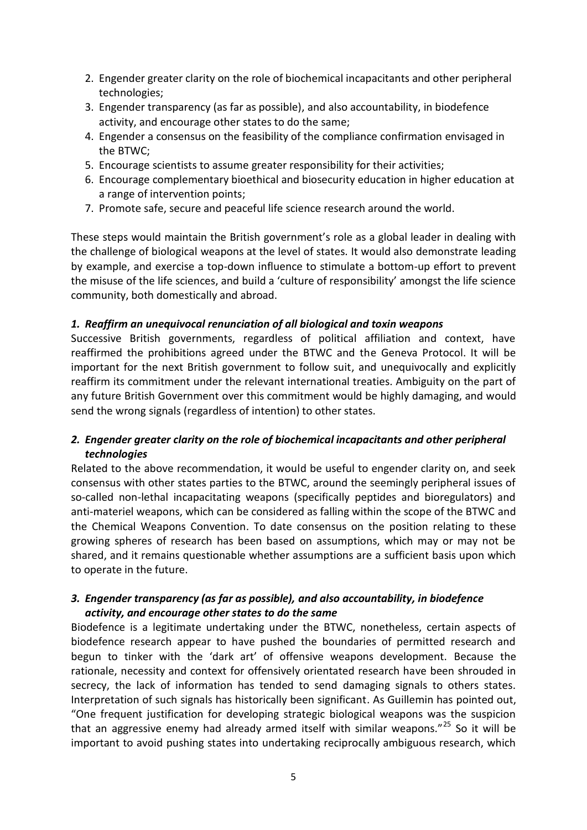- 2. Engender greater clarity on the role of biochemical incapacitants and other peripheral technologies;
- 3. Engender transparency (as far as possible), and also accountability, in biodefence activity, and encourage other states to do the same;
- 4. Engender a consensus on the feasibility of the compliance confirmation envisaged in the BTWC;
- 5. Encourage scientists to assume greater responsibility for their activities;
- 6. Encourage complementary bioethical and biosecurity education in higher education at a range of intervention points;
- 7. Promote safe, secure and peaceful life science research around the world.

These steps would maintain the British government's role as a global leader in dealing with the challenge of biological weapons at the level of states. It would also demonstrate leading by example, and exercise a top-down influence to stimulate a bottom-up effort to prevent the misuse of the life sciences, and build a 'culture of responsibility' amongst the life science community, both domestically and abroad.

## *1. Reaffirm an unequivocal renunciation of all biological and toxin weapons*

Successive British governments, regardless of political affiliation and context, have reaffirmed the prohibitions agreed under the BTWC and the Geneva Protocol. It will be important for the next British government to follow suit, and unequivocally and explicitly reaffirm its commitment under the relevant international treaties. Ambiguity on the part of any future British Government over this commitment would be highly damaging, and would send the wrong signals (regardless of intention) to other states.

# *2. Engender greater clarity on the role of biochemical incapacitants and other peripheral technologies*

Related to the above recommendation, it would be useful to engender clarity on, and seek consensus with other states parties to the BTWC, around the seemingly peripheral issues of so-called non-lethal incapacitating weapons (specifically peptides and bioregulators) and anti-materiel weapons, which can be considered as falling within the scope of the BTWC and the Chemical Weapons Convention. To date consensus on the position relating to these growing spheres of research has been based on assumptions, which may or may not be shared, and it remains questionable whether assumptions are a sufficient basis upon which to operate in the future.

## *3. Engender transparency (as far as possible), and also accountability, in biodefence activity, and encourage other states to do the same*

Biodefence is a legitimate undertaking under the BTWC, nonetheless, certain aspects of biodefence research appear to have pushed the boundaries of permitted research and begun to tinker with the 'dark art' of offensive weapons development. Because the rationale, necessity and context for offensively orientated research have been shrouded in secrecy, the lack of information has tended to send damaging signals to others states. Interpretation of such signals has historically been significant. As Guillemin has pointed out, "One frequent justification for developing strategic biological weapons was the suspicion that an aggressive enemy had already armed itself with similar weapons."<sup>25</sup> So it will be important to avoid pushing states into undertaking reciprocally ambiguous research, which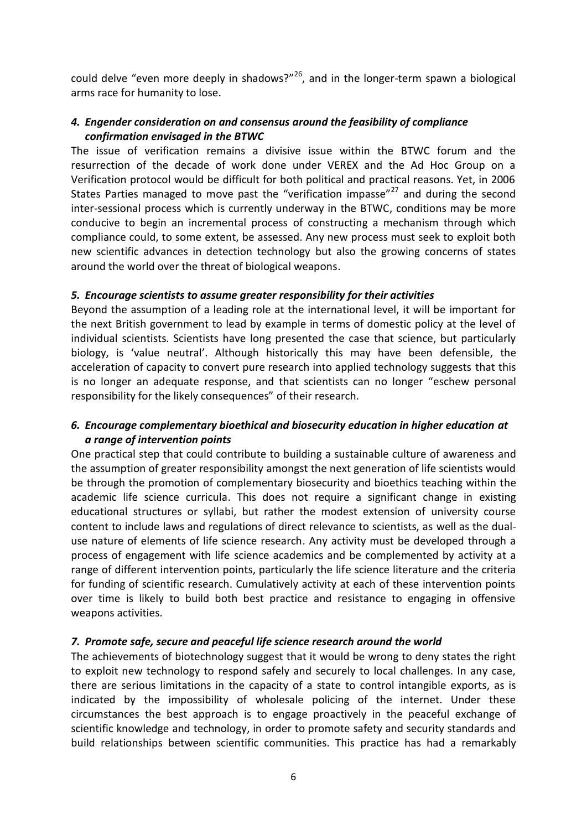could delve "even more deeply in shadows?"<sup>26</sup>, and in the longer-term spawn a biological arms race for humanity to lose.

## *4. Engender consideration on and consensus around the feasibility of compliance confirmation envisaged in the BTWC*

The issue of verification remains a divisive issue within the BTWC forum and the resurrection of the decade of work done under VEREX and the Ad Hoc Group on a Verification protocol would be difficult for both political and practical reasons. Yet, in 2006 States Parties managed to move past the "verification impasse"<sup>27</sup> and during the second inter-sessional process which is currently underway in the BTWC, conditions may be more conducive to begin an incremental process of constructing a mechanism through which compliance could, to some extent, be assessed. Any new process must seek to exploit both new scientific advances in detection technology but also the growing concerns of states around the world over the threat of biological weapons.

## *5. Encourage scientists to assume greater responsibility for their activities*

Beyond the assumption of a leading role at the international level, it will be important for the next British government to lead by example in terms of domestic policy at the level of individual scientists. Scientists have long presented the case that science, but particularly biology, is 'value neutral'. Although historically this may have been defensible, the acceleration of capacity to convert pure research into applied technology suggests that this is no longer an adequate response, and that scientists can no longer "eschew personal responsibility for the likely consequences" of their research.

## *6. Encourage complementary bioethical and biosecurity education in higher education at a range of intervention points*

One practical step that could contribute to building a sustainable culture of awareness and the assumption of greater responsibility amongst the next generation of life scientists would be through the promotion of complementary biosecurity and bioethics teaching within the academic life science curricula. This does not require a significant change in existing educational structures or syllabi, but rather the modest extension of university course content to include laws and regulations of direct relevance to scientists, as well as the dualuse nature of elements of life science research. Any activity must be developed through a process of engagement with life science academics and be complemented by activity at a range of different intervention points, particularly the life science literature and the criteria for funding of scientific research. Cumulatively activity at each of these intervention points over time is likely to build both best practice and resistance to engaging in offensive weapons activities.

## *7. Promote safe, secure and peaceful life science research around the world*

The achievements of biotechnology suggest that it would be wrong to deny states the right to exploit new technology to respond safely and securely to local challenges. In any case, there are serious limitations in the capacity of a state to control intangible exports, as is indicated by the impossibility of wholesale policing of the internet. Under these circumstances the best approach is to engage proactively in the peaceful exchange of scientific knowledge and technology, in order to promote safety and security standards and build relationships between scientific communities. This practice has had a remarkably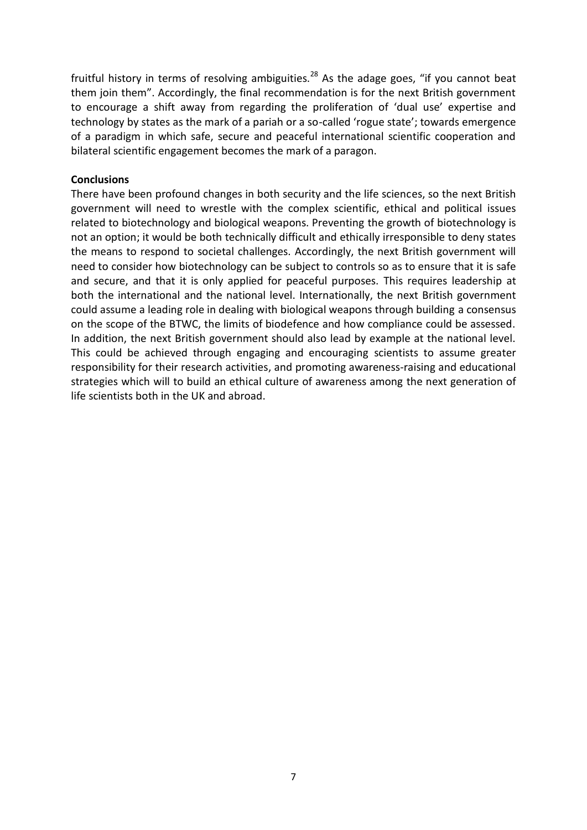fruitful history in terms of resolving ambiguities.<sup>28</sup> As the adage goes, "if you cannot beat them join them". Accordingly, the final recommendation is for the next British government to encourage a shift away from regarding the proliferation of 'dual use' expertise and technology by states as the mark of a pariah or a so-called 'rogue state'; towards emergence of a paradigm in which safe, secure and peaceful international scientific cooperation and bilateral scientific engagement becomes the mark of a paragon.

#### **Conclusions**

There have been profound changes in both security and the life sciences, so the next British government will need to wrestle with the complex scientific, ethical and political issues related to biotechnology and biological weapons. Preventing the growth of biotechnology is not an option; it would be both technically difficult and ethically irresponsible to deny states the means to respond to societal challenges. Accordingly, the next British government will need to consider how biotechnology can be subject to controls so as to ensure that it is safe and secure, and that it is only applied for peaceful purposes. This requires leadership at both the international and the national level. Internationally, the next British government could assume a leading role in dealing with biological weapons through building a consensus on the scope of the BTWC, the limits of biodefence and how compliance could be assessed. In addition, the next British government should also lead by example at the national level. This could be achieved through engaging and encouraging scientists to assume greater responsibility for their research activities, and promoting awareness-raising and educational strategies which will to build an ethical culture of awareness among the next generation of life scientists both in the UK and abroad.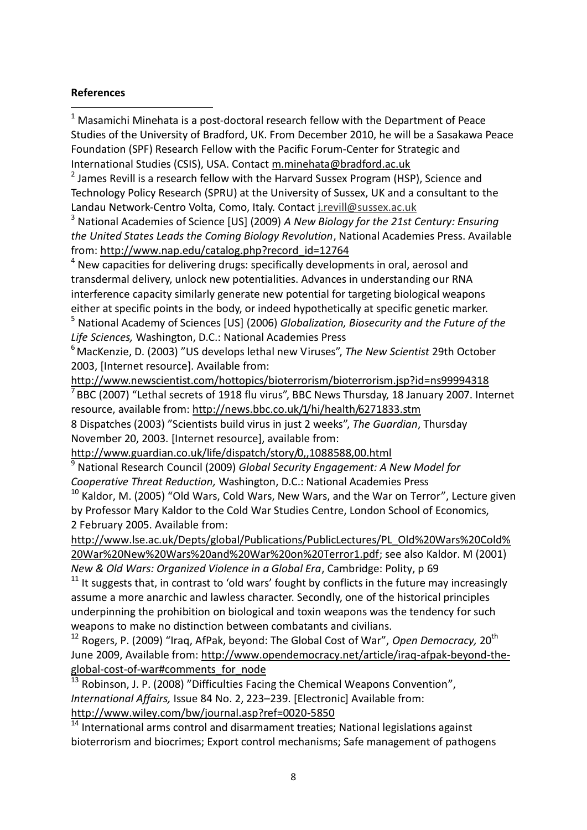## **References**

1

 $1$  Masamichi Minehata is a post-doctoral research fellow with the Department of Peace Studies of the University of Bradford, UK. From December 2010, he will be a Sasakawa Peace Foundation (SPF) Research Fellow with the Pacific Forum-Center for Strategic and International Studies (CSIS), USA. Contact [m.minehata@bradford.ac.uk](mailto:m.minehata@bradford.ac.uk)

<sup>2</sup> James Revill is a research fellow with the Harvard Sussex Program (HSP), Science and Technology Policy Research (SPRU) at the University of Sussex, UK and a consultant to the Landau Network-Centro Volta, Como, Italy. Contact [j.revill@sussex.ac.uk](mailto:j.revill@sussex.ac.uk)

<sup>3</sup> National Academies of Science [US] (2009) *A New Biology for the 21st Century: Ensuring the United States Leads the Coming Biology Revolution*, National Academies Press. Available from[: http://www.nap.edu/catalog.php?record\\_id=12764](http://www.nap.edu/catalog.php?record_id=12764)

 $4$  New capacities for delivering drugs: specifically developments in oral, aerosol and transdermal delivery, unlock new potentialities. Advances in understanding our RNA interference capacity similarly generate new potential for targeting biological weapons either at specific points in the body, or indeed hypothetically at specific genetic marker.

<sup>5</sup> National Academy of Sciences [US] (2006) *Globalization, Biosecurity and the Future of the Life Sciences,* Washington, D.C.: National Academies Press

<sup>6</sup> MacKenzie, D. (2003) "US develops lethal new Viruses", *The New Scientist* 29th October 2003, [Internet resource]. Available from:

<http://www.newscientist.com/hottopics/bioterrorism/bioterrorism.jsp?id=ns99994318>  $<sup>7</sup>$ BBC (2007) "Lethal secrets of 1918 flu virus", BBC News Thursday, 18 January 2007. Internet</sup> resource, available from:<http://news.bbc.co.uk/1/hi/health/6271833.stm>

8 Dispatches (2003) "Scientists build virus in just 2 weeks", *The Guardian*, Thursday November 20, 2003. [Internet resource], available from:

<http://www.guardian.co.uk/life/dispatch/story/0,,1088588,00.html>

<sup>9</sup> National Research Council (2009) *Global Security Engagement: A New Model for Cooperative Threat Reduction,* Washington, D.C.: National Academies Press

 $10$  Kaldor, M. (2005) "Old Wars, Cold Wars, New Wars, and the War on Terror", Lecture given by Professor Mary Kaldor to the Cold War Studies Centre, London School of Economics, 2 February 2005. Available from:

[http://www.lse.ac.uk/Depts/global/Publications/PublicLectures/PL\\_Old%20Wars%20Cold%](http://www.lse.ac.uk/Depts/global/Publications/PublicLectures/PL_Old%20Wars%20Cold%20War%20New%20Wars%20and%20War%20on%20Terror1.pdf) [20War%20New%20Wars%20and%20War%20on%20Terror1.pdf;](http://www.lse.ac.uk/Depts/global/Publications/PublicLectures/PL_Old%20Wars%20Cold%20War%20New%20Wars%20and%20War%20on%20Terror1.pdf) see also Kaldor. M (2001)

*New & Old Wars: Organized Violence in a Global Era*, Cambridge: Polity, p 69

 $11$  It suggests that, in contrast to 'old wars' fought by conflicts in the future may increasingly assume a more anarchic and lawless character. Secondly, one of the historical principles underpinning the prohibition on biological and toxin weapons was the tendency for such weapons to make no distinction between combatants and civilians.

<sup>12</sup> Rogers, P. (2009) "Iraq, AfPak, beyond: The Global Cost of War", *Open Democracy*, 20<sup>th</sup> June 2009, Available from: [http://www.opendemocracy.net/article/iraq-afpak-beyond-the](http://www.opendemocracy.net/article/iraq-afpak-beyond-the-global-cost-of-war#comments_for_node)[global-cost-of-war#comments\\_for\\_node](http://www.opendemocracy.net/article/iraq-afpak-beyond-the-global-cost-of-war#comments_for_node)

Robinson, J. P. (2008) "Difficulties Facing the Chemical Weapons Convention", *International Affairs,* Issue 84 No. 2, 223–239. [Electronic] Available from: http://www.wiley.com/bw/journal.asp?ref=0020-5850

 $14$  International arms control and disarmament treaties; National legislations against bioterrorism and biocrimes; Export control mechanisms; Safe management of pathogens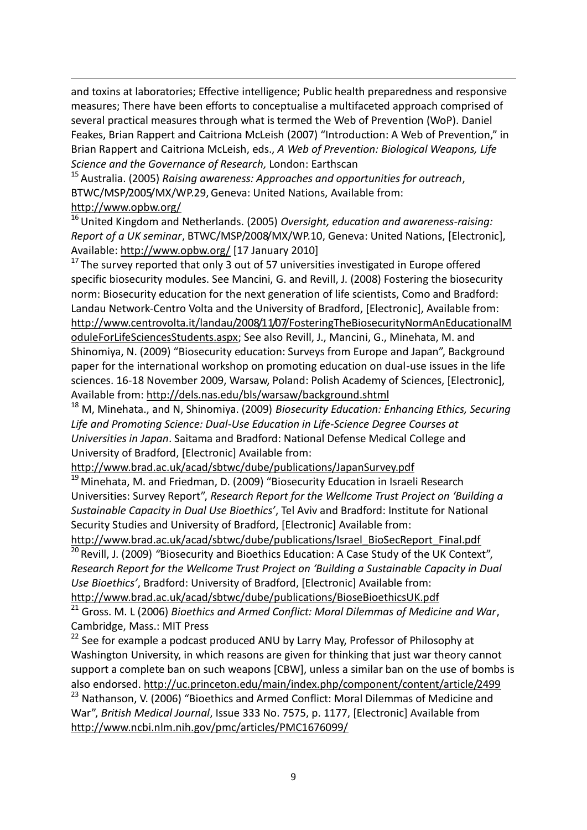and toxins at laboratories; Effective intelligence; Public health preparedness and responsive measures; There have been efforts to conceptualise a multifaceted approach comprised of several practical measures through what is termed the Web of Prevention (WoP). Daniel Feakes, Brian Rappert and Caitriona McLeish (2007) "Introduction: A Web of Prevention," in Brian Rappert and Caitriona McLeish, eds., *A Web of Prevention: Biological Weapons, Life Science and the Governance of Research,* London: Earthscan

<sup>15</sup> Australia. (2005) *Raising awareness: Approaches and opportunities for outreach*, BTWC/MSP/2005/MX/WP.29,Geneva: United Nations, Available from: <http://www.opbw.org/>

<sup>16</sup> United Kingdom and Netherlands. (2005) *Oversight, education and awareness-raising: Report of a UK seminar*, BTWC/MSP/2008/MX/WP.10, Geneva: United Nations, [Electronic], Available: http://www.opbw.org/ [17 January 2010]

 $17$  The survey reported that only 3 out of 57 universities investigated in Europe offered specific biosecurity modules. See Mancini, G. and Revill, J. (2008) Fostering the biosecurity norm: Biosecurity education for the next generation of life scientists, Como and Bradford: Landau Network-Centro Volta and the University of Bradford, [Electronic], Available from: http://www.centrovolta.it/landau/2008/11/07/FosteringTheBiosecurityNormAnEducationalM oduleForLifeSciencesStudents.aspx; See also Revill, J., Mancini, G., Minehata, M. and Shinomiya, N. (2009) "Biosecurity education: Surveys from Europe and Japan", Background paper for the international workshop on promoting education on dual-use issues in the life sciences. 16-18 November 2009, Warsaw, Poland: Polish Academy of Sciences, [Electronic], Available from: http://dels.nas.edu/bls/warsaw/background.shtml

<sup>18</sup> M, Minehata., and N, Shinomiya. (2009) *Biosecurity Education: Enhancing Ethics, Securing Life and Promoting Science: Dual-Use Education in Life-Science Degree Courses at Universities in Japan*. Saitama and Bradford: National Defense Medical College and University of Bradford, [Electronic] Available from:

<http://www.brad.ac.uk/acad/sbtwc/dube/publications/JapanSurvey.pdf>

 $\frac{19}{19}$  Minehata, M. and Friedman, D. (2009) "Biosecurity Education in Israeli Research Universities: Survey Report", *Research Report for the Wellcome Trust Project on 'Building a Sustainable Capacity in Dual Use Bioethics'*, Tel Aviv and Bradford: Institute for National Security Studies and University of Bradford, [Electronic] Available from:

[http://www.brad.ac.uk/acad/sbtwc/dube/publications/Israel\\_BioSecReport\\_Final.pdf](http://www.brad.ac.uk/acad/sbtwc/dube/publications/Israel_BioSecReport_Final.pdf)

<sup>20</sup> Revill, J. (2009) "Biosecurity and Bioethics Education: A Case Study of the UK Context", *Research Report for the Wellcome Trust Project on 'Building a Sustainable Capacity in Dual Use Bioethics'*, Bradford: University of Bradford, [Electronic] Available from: http://www.brad.ac.uk/acad/sbtwc/dube/publications/BioseBioethicsUK.pdf

<sup>21</sup> Gross. M. L (2006) *Bioethics and Armed Conflict: Moral Dilemmas of Medicine and War*,

Cambridge, Mass.: MIT Press

1

<sup>22</sup> See for example a podcast produced ANU by Larry May, Professor of Philosophy at Washington University, in which reasons are given for thinking that just war theory cannot support a complete ban on such weapons [CBW], unless a similar ban on the use of bombs is also endorsed[. http://uc.princeton.edu/main/index.php/component/content/article/2499](http://uc.princeton.edu/main/index.php/component/content/article/2499)

<sup>23</sup> Nathanson, V. (2006) "Bioethics and Armed Conflict: Moral Dilemmas of Medicine and War", *British Medical Journal*, Issue 333 No. 7575, p. 1177, [Electronic] Available from <http://www.ncbi.nlm.nih.gov/pmc/articles/PMC1676099/>